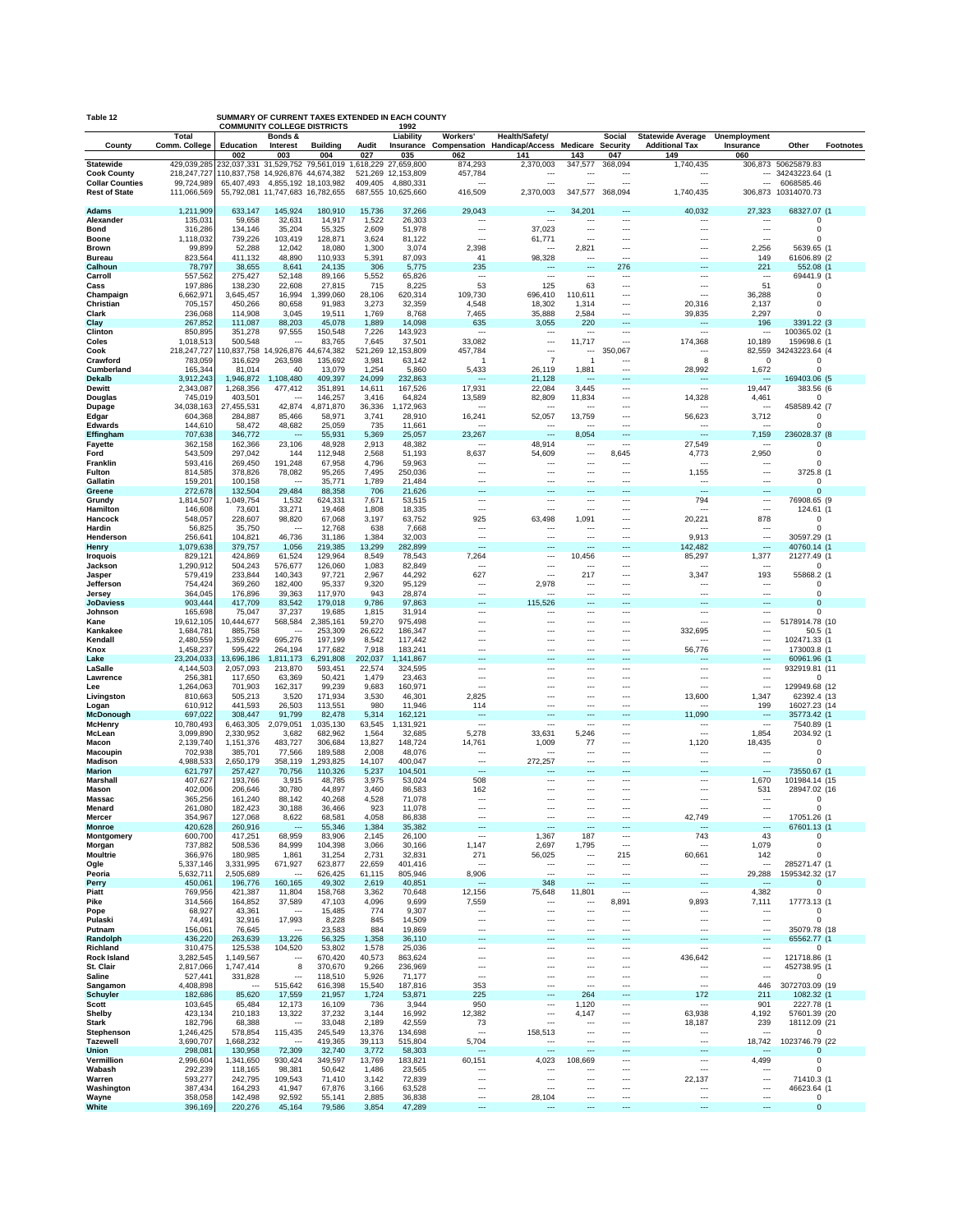| Table 12                               | SUMMARY OF CURRENT TAXES EXTENDED IN EACH COUNTY<br><b>COMMUNITY COLLEGE DISTRICTS</b><br>1992 |                                                  |                                     |                       |                 |                                            |                                                      |                                                                            |                                       |                                                      |                                                      |                                                      |                                       |                  |
|----------------------------------------|------------------------------------------------------------------------------------------------|--------------------------------------------------|-------------------------------------|-----------------------|-----------------|--------------------------------------------|------------------------------------------------------|----------------------------------------------------------------------------|---------------------------------------|------------------------------------------------------|------------------------------------------------------|------------------------------------------------------|---------------------------------------|------------------|
|                                        | <b>Total</b><br>Comm. College                                                                  | Education                                        | Bonds &<br>Interest                 | <b>Building</b>       | Audit           | Liability                                  | Workers'                                             | Health/Safety/<br>Insurance Compensation Handicap/Access Medicare Security |                                       | <b>Social</b>                                        | <b>Statewide Average</b><br><b>Additional Tax</b>    | Unemployment<br>Insurance                            | Other                                 | <b>Footnotes</b> |
| County                                 |                                                                                                | 002                                              | 003                                 | 004                   | 027             | 035                                        | 062                                                  | 141                                                                        | 143                                   | 047                                                  | 149                                                  | 060                                                  |                                       |                  |
| <b>Statewide</b><br><b>Cook County</b> | 429,039,285<br>218,247,727                                                                     | 232,037,331<br>110,837,758 14,926,876 44,674,382 |                                     | 31,529,752 79,561,019 |                 | 1,618,229 27,659,800<br>521,269 12,153,809 | 874,293<br>457,784                                   | 2,370,003<br>$\ddotsc$                                                     | 347,577                               | 368,094<br>$\ddotsc$                                 | 1,740,435<br>$\overline{\phantom{a}}$                | $\sim$                                               | 306,873 50625879.83<br>34243223.64 (1 |                  |
| <b>Collar Counties</b>                 | 99,724,989                                                                                     | 65,407,493                                       |                                     | 4,855,192 18,103,982  | 409,405         | 4,880,331                                  | ---                                                  | ---                                                                        | ---                                   | $\overline{a}$                                       | $\overline{\phantom{a}}$                             | $\overline{\phantom{a}}$                             | 6068585.46                            |                  |
| <b>Rest of State</b>                   | 111,066,569                                                                                    |                                                  | 55,792,081 11,747,683 16,782,655    |                       |                 | 687,555 10,625,660                         | 416,509                                              | 2,370,003                                                                  | 347,577                               | 368,094                                              | 1,740,435                                            | 306,873                                              | 10314070.73                           |                  |
| <b>Adams</b>                           | 1,211,909                                                                                      | 633,147                                          | 145,924                             | 180,910               | 15,736          | 37,266                                     | 29,043                                               | ---                                                                        | 34,201                                | ---                                                  | 40,032                                               | 27,323                                               | 68327.07 (1                           |                  |
| Alexander<br><b>Bond</b>               | 135,031<br>316,286                                                                             | 59,658<br>134,146                                | 32,631<br>35,204                    | 14,917<br>55,325      | 1,522<br>2,609  | 26,303<br>51,978                           | $\ddotsc$<br>$\overline{\phantom{a}}$                | $\ddotsc$<br>37,023                                                        | $\overline{\phantom{a}}$<br>---       | $\ddotsc$<br>$\overline{\phantom{a}}$                | $\ddotsc$<br>$\overline{\phantom{a}}$                | $\overline{\phantom{a}}$<br>$\overline{\phantom{a}}$ | $\Omega$<br>$\Omega$                  |                  |
| <b>Boone</b>                           | 1,118,032                                                                                      | 739,226                                          | 103,419                             | 128,871               | 3,624           | 81,122                                     | $\overline{\phantom{a}}$                             | 61,771                                                                     | ---                                   | $\overline{\phantom{a}}$                             | $\ddotsc$                                            | $\overline{\phantom{a}}$                             | $\Omega$                              |                  |
| <b>Brown</b><br><b>Bureau</b>          | 99,899<br>823,564                                                                              | 52,288<br>411,132                                | 12,042<br>48,890                    | 18,080<br>110,933     | 1,300<br>5,391  | 3,074<br>87,093                            | 2,398<br>41                                          | $\overline{\phantom{a}}$<br>98,328                                         | 2,821<br>$\overline{\phantom{a}}$     | $\overline{\phantom{a}}$<br>$\overline{a}$           | $\ddotsc$<br>---                                     | 2,256<br>149                                         | 5639.65 (1<br>61606.89 (2             |                  |
| Calhoun                                | 78,797                                                                                         | 38,655                                           | 8,641                               | 24,135                | 306             | 5,775                                      | 235                                                  | ---                                                                        | ---                                   | 276                                                  | ---                                                  | 221                                                  | 552.08 (1                             |                  |
| Carroll<br>Cass                        | 557,562<br>197,886                                                                             | 275,427<br>138,230                               | 52,148<br>22,608                    | 89,166<br>27,815      | 5,552<br>715    | 65,826<br>8,225                            | $\ddotsc$<br>53                                      | $\ddotsc$<br>125                                                           | ---<br>63                             | $\ddotsc$<br>---                                     | $\overline{\phantom{a}}$<br>$\overline{\phantom{a}}$ | $\ddotsc$<br>51                                      | 69441.9 (1<br>$\Omega$                |                  |
| Champaign                              | 6,662,971                                                                                      | 3,645,457                                        | 16,994                              | ,399,060<br>-1        | 28,106          | 620,314                                    | 109,730                                              | 696,410                                                                    | 110,611                               | $\overline{\phantom{a}}$                             | $\overline{\phantom{a}}$                             | 36,288                                               | $\Omega$                              |                  |
| Christian<br>Clark                     | 705,157<br>236,068                                                                             | 450,266<br>114,908                               | 80,658<br>3,045                     | 91,983<br>19,511      | 3,273<br>1,769  | 32,359<br>8,768                            | 4,548<br>7,465                                       | 18,302<br>35,888                                                           | 1,314<br>2,584                        | $\overline{\phantom{a}}$<br>$\overline{\phantom{a}}$ | 20,316<br>39,835                                     | 2,137<br>2,297                                       | $\Omega$<br>ŋ                         |                  |
| Clay                                   | 267,852                                                                                        | 111,087                                          | 88,203                              | 45,078                | 1,889           | 14,098                                     | 635                                                  | 3,055                                                                      | 220                                   | $\overline{a}$                                       | $\overline{\phantom{a}}$                             | 196                                                  | 3391.22 (3)                           |                  |
| Clinton<br>Coles                       | 850,895<br>1,018,513                                                                           | 351,278<br>500,548                               | 97,555<br>$\ddotsc$                 | 150,548<br>83,765     | 7,226<br>7,645  | 143,923<br>37,501                          | $\ddotsc$<br>33,082                                  | ---<br>---                                                                 | ---<br>11,717                         | ---<br>                                              | $\overline{\phantom{a}}$<br>174,368                  | $\cdots$<br>10,189                                   | 100365.02 (1<br>159698.6 (1           |                  |
| Cook                                   | 218,247,727                                                                                    |                                                  | 0,837,758 14,926,876                | 44,674,382            | 521,269         | 12,153,809                                 | 457,784                                              | ---                                                                        | ---                                   | 350,067                                              | $\overline{\phantom{a}}$                             | 82,559                                               | 34243223.64 (4                        |                  |
| Crawford<br>Cumberland                 | 783,059<br>165,344                                                                             | 316,629<br>81,014                                | 263,598<br>40                       | 135,692<br>13,079     | 3,981<br>1,254  | 63,142<br>5,860                            | -1<br>5,433                                          | $\overline{7}$<br>26,119                                                   | $\overline{1}$<br>1,881               | ---<br>                                              | 8<br>28,992                                          | $\Omega$<br>1,672                                    | $\Omega$<br>$\Omega$                  |                  |
| Dekalb                                 | 3,912,243                                                                                      | 1,946,872                                        | 1,108,480                           | 409,397               | 24,099          | 232,863                                    | $\overline{\phantom{a}}$                             | 21,128                                                                     | ---                                   | ---                                                  | $\sim$                                               | $\sim$                                               | 169403.06 (5                          |                  |
| <b>Dewitt</b><br>Douglas               | 2,343,087<br>745,019                                                                           | 1,268,356<br>403,501                             | 477,412<br>---                      | 351,891<br>146,257    | 14,611<br>3,416 | 167,526<br>64,824                          | 17,931<br>13,589                                     | 22,084<br>82,809                                                           | 3.445<br>11,834                       | ---<br>                                              | $\overline{\phantom{a}}$<br>14,328                   | 19,447<br>4,461                                      | 383.56 (6<br>$\Omega$                 |                  |
| Dupage                                 | 34,038,163                                                                                     | 27,455,531                                       | 42,874                              | 4,871,870             | 36,336          | 1,172,963                                  | $\overline{\phantom{a}}$                             | $\ddotsc$                                                                  | $\overline{\phantom{a}}$              | ---                                                  | $\overline{\phantom{a}}$                             | $\cdots$                                             | 458589.42 (7                          |                  |
| Edgar<br>Edwards                       | 604,368<br>144,610                                                                             | 284,887<br>58,472                                | 85,466<br>48,682                    | 58,971<br>25,059      | 3,741<br>735    | 28,910<br>11,661                           | 16,241<br>$\sim$                                     | 52,057<br>$\overline{\phantom{a}}$                                         | 13,759<br>$\overline{\phantom{a}}$    | $\overline{\phantom{a}}$<br>$\overline{a}$           | 56,623<br>$\overline{\phantom{a}}$                   | 3,712<br>$\sim$                                      | $\Omega$<br>$\Omega$                  |                  |
| Effingham                              | 707,638                                                                                        | 346,772                                          | $\sim$                              | 55,931                | 5,369           | 25,057                                     | 23,267                                               | $\overline{\phantom{a}}$                                                   | 8,054                                 | $\overline{\phantom{a}}$                             | $\overline{\phantom{a}}$                             | 7,159                                                | 236028.37 (8                          |                  |
| Fayette<br>Ford                        | 362,158<br>543,509                                                                             | 162,366<br>297.042                               | 23,106<br>144                       | 48,928<br>112,948     | 2,913<br>2,568  | 48,382<br>51,193                           | $\overline{\phantom{a}}$<br>8,637                    | 48,914<br>54,609                                                           | $\ddotsc$<br>---                      | $\ddotsc$<br>8,645                                   | 27,549<br>4,773                                      | $\ddotsc$<br>2,950                                   | $\Omega$<br>$\Omega$                  |                  |
| Franklin                               | 593,416                                                                                        | 269,450                                          | 191,248                             | 67,958                | 4,796           | 59,963                                     | ---                                                  | $\overline{a}$                                                             | ---                                   | $\overline{a}$                                       | $\overline{\phantom{a}}$                             | $\overline{\phantom{a}}$                             | $\Omega$                              |                  |
| Fulton<br>Gallatin                     | 814,585<br>159,201                                                                             | 378,826<br>100,158                               | 78,082<br>$\sim$                    | 95,265<br>35,771      | 7,495<br>1,789  | 250,036<br>21,484                          | $\ddotsc$<br>$\ddotsc$                               | ---<br>---                                                                 | ---<br>---                            | ---<br>$\overline{\phantom{a}}$                      | 1,155<br>$\overline{\phantom{a}}$                    | $\overline{\phantom{a}}$<br>$\cdots$                 | 3725.8 (1<br>$\Omega$                 |                  |
| Greene                                 | 272,678                                                                                        | 132,504                                          | 29,484                              | 88,358                | 706             | 21,626                                     | $\overline{\phantom{a}}$                             | ---                                                                        | ---                                   | ---                                                  | $\sim$                                               | $\sim$                                               | $\Omega$                              |                  |
| Grundy<br>Hamilton                     | 1,814,507<br>146,608                                                                           | 1,049,754<br>73,601                              | 1,532<br>33,271                     | 624,331<br>19,468     | 7,671<br>1,808  | 53,515<br>18,335                           | $\ddotsc$<br>$\overline{\phantom{a}}$                | ---<br>---                                                                 | ---<br>---                            | ---<br>---                                           | 794<br>$\ddotsc$                                     | $\cdots$<br>$\overline{\phantom{a}}$                 | 76908.65 (9<br>124.61 (1              |                  |
| Hancock                                | 548,057                                                                                        | 228,607                                          | 98,820                              | 67,068                | 3,197           | 63,752                                     | 925                                                  | 63,498                                                                     | 1,091                                 |                                                      | 20,221                                               | 878                                                  | $\Omega$                              |                  |
| Hardin<br>Henderson                    | 56,825<br>256,641                                                                              | 35,750<br>104,821                                | $\ddotsc$<br>46,736                 | 12,768<br>31,186      | 638<br>1,384    | 7,668<br>32,003                            | ---<br>$\overline{\phantom{a}}$                      | $\overline{a}$<br>---                                                      | $\overline{\phantom{a}}$<br>---       | ---<br>                                              | $\overline{\phantom{a}}$<br>9,913                    | $\sim$<br>$\overline{\phantom{a}}$                   | $\Omega$<br>30597.29 (1               |                  |
| Henry                                  | 1,079,638                                                                                      | 379,757                                          | 1,056                               | 219,385               | 13,299          | 282,899                                    | $\overline{\phantom{a}}$                             | ---                                                                        | ---                                   | ---                                                  | 142,482                                              | $\overline{\phantom{a}}$                             | 40760.14 (1                           |                  |
| <b>Iroquois</b><br>Jackson             | 829,121<br>1,290,912                                                                           | 424,869<br>504,243                               | 61,524<br>576,677                   | 129,964<br>126,060    | 8,549<br>1,083  | 78,543<br>82,849                           | 7,264<br>$\overline{\phantom{a}}$                    | ---<br>---                                                                 | 10,456<br>---                         | ---<br>                                              | 85,297<br>$\ddotsc$                                  | 1,377<br>$\sim$                                      | 21277.49 (1<br>$\Omega$               |                  |
| Jasper                                 | 579,419                                                                                        | 233,844                                          | 140,343                             | 97,721                | 2,967           | 44,292                                     | 627                                                  | ---                                                                        | 217                                   |                                                      | 3,347                                                | 193                                                  | 55868.2 (1                            |                  |
| Jefferson<br>Jersey                    | 754,424<br>364,045                                                                             | 369,260<br>176,896                               | 182,400<br>39,363                   | 95,337<br>117,970     | 9,320<br>943    | 95,129<br>28,874                           | $\ddotsc$<br>$\overline{\phantom{a}}$                | 2,978<br>$\overline{a}$                                                    | $\ddotsc$<br>$\overline{\phantom{a}}$ | <br>$\overline{a}$                                   | $\ddotsc$<br>$\overline{\phantom{a}}$                | $\cdots$<br>$\overline{\phantom{a}}$                 | $\Omega$<br>$\Omega$                  |                  |
| <b>JoDaviess</b>                       | 903,444                                                                                        | 417,709                                          | 83,542                              | 179,018               | 9,786           | 97,863                                     | $\overline{\phantom{a}}$                             | 115,526                                                                    | ---                                   | ---                                                  | ---                                                  | $\sim$                                               | $\Omega$                              |                  |
| Johnson<br>Kane                        | 165,698<br>19,612,105                                                                          | 75,047<br>10,444,677                             | 37,237<br>568,584                   | 19,685<br>2,385,161   | 1,815<br>59,270 | 31,914<br>975,498                          | $\ddotsc$<br>$\ddotsc$                               | $\ddotsc$<br>---                                                           | ---<br>---                            | $\ddotsc$<br>                                        | $\overline{\phantom{a}}$<br>$\overline{\phantom{a}}$ | $\cdots$<br>$\overline{\phantom{a}}$                 | $\Omega$<br>5178914.78 (10            |                  |
| Kankakee                               | 1,684,781                                                                                      | 885,758                                          | $\ddotsc$                           | 253,309               | 26,622          | 186,347                                    | $\ddotsc$                                            | ---                                                                        | ---                                   |                                                      | 332,695                                              | $\overline{\phantom{a}}$                             | 50.5(1)                               |                  |
| Kendall<br>Knox                        | 2,480,559<br>1,458,237                                                                         | 1,359,629<br>595,422                             | 695,276<br>264,194                  | 197,199<br>177,682    | 8,542<br>7,918  | 117,442<br>183,241                         | $\ddotsc$<br>$\overline{\phantom{a}}$                | ---<br>---                                                                 | ---<br>---                            | $\overline{\phantom{a}}$<br>                         | $\overline{\phantom{a}}$<br>56,776                   | $\ddotsc$<br>$\overline{\phantom{a}}$                | 102471.33 (1<br>173003.8 (1           |                  |
| Lake                                   | 23,204,033                                                                                     | 13,696,186                                       | 1,811,173                           | 6,291,808             | 202,037         | 1,141,867                                  | $\overline{\phantom{a}}$                             | ---                                                                        | ---                                   | ---                                                  | $\overline{a}$                                       | $\sim$                                               | 60961.96 (1                           |                  |
| LaSalle<br>Lawrence                    | 4,144,503<br>256,38                                                                            | 2,057,093<br>117,650                             | 213,870<br>63,369                   | 593,451<br>50,421     | 22,574<br>1,479 | 324,595<br>23,463                          | $\ddotsc$<br>$\ddotsc$                               | ---<br>---                                                                 | ---<br>---                            | $\ddotsc$<br>                                        | $\overline{\phantom{a}}$<br>$\overline{\phantom{a}}$ | $\cdots$<br>$\cdots$                                 | 932919.81 (11<br>$\Omega$             |                  |
| Lee                                    | 1,264,063                                                                                      | 701,903                                          | 162,317                             | 99,239<br>171,934     | 9,683<br>3,530  | 160,971                                    | $\overline{\phantom{a}}$<br>2,825                    | ---<br>---                                                                 | ---<br>---                            | $\overline{\phantom{a}}$<br>$\overline{\phantom{a}}$ | $\overline{\phantom{a}}$<br>13,600                   | $\overline{\phantom{a}}$<br>1,347                    | 129949.68 (12<br>62392.4 (13          |                  |
| Livingston<br>Logan                    | 810,663<br>610,912                                                                             | 505,213<br>441,593                               | 3,520<br>26,503                     | 113,551               | 980             | 46,301<br>11,946                           | 114                                                  | ---                                                                        | ---                                   | $\overline{\phantom{a}}$                             | $\overline{\phantom{a}}$                             | 199                                                  | 16027.23 (14                          |                  |
| <b>McDonough</b><br>McHenry            | 697,022<br>10,780,493                                                                          | 308,447<br>6,463,305                             | 91,799<br>2,079,051                 | 82,478<br>1,035,130   | 5,314<br>63,545 | 162,121<br>1,131,921                       | $\overline{\phantom{a}}$<br>$\overline{\phantom{a}}$ | ---<br>---                                                                 | ---<br>---                            | ---<br>---                                           | 11,090<br>$\ddotsc$                                  | $\sim$<br>$\sim$                                     | 35773.42 (1<br>7540.89 (1             |                  |
| McLean                                 | 3,099,890                                                                                      | 2,330,952                                        | 3,682                               | 682,962               | 1,564           | 32,685                                     | 5,278                                                | 33,631                                                                     | 5,246                                 | $\overline{\phantom{a}}$                             | $\overline{\phantom{a}}$                             | 1,854                                                | 2034.92 (1                            |                  |
| Macon<br>Macoupin                      | 2,139,740<br>702,938                                                                           | 1,151,376<br>385,701                             | 483,727<br>77,566                   | 306,684<br>189,588    | 13,827<br>2,008 | 148,724<br>48,076                          | 14,761<br>$\ddotsc$                                  | 1,009<br>$\overline{a}$                                                    | 77<br>$\ddotsc$                       | <br>$\overline{\phantom{a}}$                         | 1,120<br>$\overline{\phantom{a}}$                    | 18,435<br>$\ddotsc$                                  | $\Omega$<br>$\Omega$                  |                  |
| Madison                                | 4,988,533                                                                                      | 2,650,179                                        | 358,119                             | 1,293,825             | 14,107          | 400,047                                    | $\overline{\phantom{a}}$                             | 272,257                                                                    | ---                                   | $\overline{a}$                                       | $\overline{\phantom{a}}$                             | $\sim$                                               | $\Omega$                              |                  |
| <b>Marion</b><br>Marshall              | 621,797<br>407,627                                                                             | 257,427<br>193,766                               | 70,756<br>3,915                     | 110,326<br>48,785     | 5,237<br>3,975  | 104,501<br>53,024                          | $\overline{\phantom{a}}$<br>508                      | ---<br>---                                                                 | ---<br>                               | ---<br>$\ddotsc$                                     | ---<br>$\ddotsc$                                     | $\overline{\phantom{a}}$<br>1,670                    | 73550.67 (1<br>101984.14 (15          |                  |
| Mason                                  | 402,006                                                                                        | 206,646                                          | 30,780                              | 44,897                | 3,460           | 86,583                                     | 162                                                  | ---                                                                        | ---                                   |                                                      | ---                                                  | 531                                                  | 28947.02 (16                          |                  |
| Massac<br>Menard                       | 365,256<br>261,080                                                                             | 161,240<br>182,423                               | 88,142<br>30,188                    | 40,268<br>36,466      | 4,528<br>923    | 71,078<br>11,078                           | $\ddotsc$                                            | ---<br>$\overline{a}$                                                      | <br>---                               | ---                                                  | $\overline{\phantom{a}}$<br>---                      | $\cdots$<br>$\ddotsc$                                | $\Omega$<br>$\Omega$                  |                  |
| Mercer                                 | 354,967                                                                                        | 127,068                                          | 8,622                               | 68,581                | 4,058           | 86,838                                     | $\ddotsc$                                            | $\ddotsc$                                                                  | ---                                   | ---                                                  | 42,749                                               | $\ddotsc$                                            | 17051.26 (1                           |                  |
| <b>Monroe</b><br>Montgomery            | 420,628<br>600,700                                                                             | 260,916<br>417,251                               | $\sim$<br>68,959                    | 55,346<br>83,906      | 1,384<br>2,145  | 35,382<br>26,100                           | $\overline{\phantom{a}}$<br>$\overline{\phantom{a}}$ | ---<br>1,367                                                               | ---<br>187                            | $\overline{\phantom{a}}$<br>$\overline{\phantom{a}}$ | $\overline{\phantom{a}}$<br>743                      | $\overline{\phantom{a}}$<br>43                       | 67601.13 (1<br>0                      |                  |
| Morgan                                 | 737,882                                                                                        | 508,536                                          | 84,999                              | 104,398               | 3,066           | 30,166                                     | 1,147                                                | 2,697                                                                      | 1,795                                 | $\overline{\phantom{a}}$                             | $\overline{\phantom{a}}$                             | 1,079                                                | $\Omega$                              |                  |
| <b>Moultrie</b><br>Ogle                | 366,976<br>5,337,146                                                                           | 180,985<br>3,331,995                             | 1,861<br>671,927                    | 31,254<br>623,877     | 2,731<br>22,659 | 32,831<br>401,416                          | 271<br>$\overline{\phantom{a}}$                      | 56,025<br>$\ddotsc$                                                        | ---<br>---                            | 215<br>$\ddotsc$                                     | 60,661<br>$\overline{\phantom{a}}$                   | 142<br>$\cdots$                                      | $\Omega$<br>285271.47 (1              |                  |
| Peoria                                 | 5,632,711                                                                                      | 2,505,689                                        | $\overline{\phantom{a}}$            | 626,425               | 61,115          | 805,946                                    | 8,906                                                | ---                                                                        | ---                                   | $\overline{\phantom{a}}$                             | $\ldots$                                             | 29,288                                               | 1595342.32 (17                        |                  |
| Perry<br>Piatt                         | 450,061<br>769,956                                                                             | 196,776<br>421,387                               | 160,165<br>11,804                   | 49,302<br>158,768     | 2,619<br>3,362  | 40,851<br>70,648                           | $\overline{\phantom{a}}$<br>12,156                   | 348<br>75,648                                                              | ---<br>11,801                         | $\overline{\phantom{a}}$<br>$\overline{\phantom{a}}$ | $\overline{\phantom{a}}$<br>$\overline{\phantom{a}}$ | $\overline{\phantom{a}}$<br>4,382                    | $\Omega$<br>$\mathbf 0$               |                  |
| Pike                                   | 314,566                                                                                        | 164,852                                          | 37,589                              | 47,103                | 4,096           | 9,699                                      | 7,559                                                | $\ddotsc$                                                                  | ---                                   | 8,891                                                | 9,893                                                | 7,111                                                | 17773.13 (1                           |                  |
| Pope<br>Pulaski                        | 68,927<br>74,491                                                                               | 43,361<br>32,916                                 | $\overline{\phantom{a}}$<br>17,993  | 15,485<br>8,228       | 774<br>845      | 9,307<br>14,509                            | $\ddotsc$<br>$\overline{\phantom{a}}$                | ---<br>---                                                                 | ---<br>---                            | $\ddotsc$<br>$\overline{\phantom{a}}$                | $\cdots$<br>$\overline{\phantom{a}}$                 | $\cdots$<br>$\overline{\phantom{a}}$                 | $\Omega$<br>$\Omega$                  |                  |
| Putnam                                 | 156,061                                                                                        | 76,645                                           | $\overline{\phantom{a}}$            | 23,583                | 884             | 19,869                                     | $\overline{\phantom{a}}$                             | ---                                                                        | ---                                   | $\overline{\phantom{a}}$                             | $\overline{\phantom{a}}$                             | $\overline{\phantom{a}}$                             | 35079.78 (18                          |                  |
| Randolph<br>Richland                   | 436,220<br>310,475                                                                             | 263,639<br>125,538                               | 13,226<br>104,520                   | 56,325<br>53,802      | 1,358<br>1,578  | 36,110<br>25,036                           | $\overline{\phantom{a}}$<br>$\cdots$                 | ---<br>---                                                                 | ---<br>---                            | $\overline{\phantom{a}}$<br>$\overline{\phantom{a}}$ | $\sim$<br>$\overline{\phantom{a}}$                   | $\overline{\phantom{a}}$<br>$\cdots$                 | 65562.77 (1<br>$\Omega$               |                  |
| <b>Rock Island</b>                     | 3,282,545                                                                                      | 1,149,567                                        | $\ddotsc$                           | 670,420               | 40,573          | 863,624                                    | $\overline{\phantom{a}}$                             | $\overline{\phantom{a}}$                                                   | ---                                   | $\overline{\phantom{a}}$                             | 436,642                                              | $\overline{\phantom{a}}$                             | 121718.86 (1                          |                  |
| St. Clair<br>Saline                    | 2,817,066<br>527,441                                                                           | 1,747,414<br>331,828                             | 8<br>---                            | 370,670<br>118,510    | 9,266<br>5,926  | 236,969<br>71,177                          | $\overline{\phantom{a}}$<br>$\overline{\phantom{a}}$ | ---<br>---                                                                 | ---<br>---                            | $\overline{\phantom{a}}$<br>$\overline{\phantom{a}}$ | $\overline{\phantom{a}}$<br>$\ldots$                 | $\overline{\phantom{a}}$<br>$\overline{\phantom{a}}$ | 452738.95 (1<br>$\Omega$              |                  |
| Sangamon                               | 4,408,898                                                                                      | $\overline{\phantom{a}}$                         | 515,642                             | 616,398               | 15,540          | 187,816                                    | 353                                                  | ---                                                                        | ---                                   | $\overline{\phantom{a}}$                             | $\overline{\phantom{a}}$                             | 446                                                  | 3072703.09 (19                        |                  |
| <b>Schuyler</b><br>Scott               | 182,686<br>103,645                                                                             | 85,620<br>65,484                                 | 17,559<br>12,173                    | 21,957<br>16,109      | 1,724<br>736    | 53,871<br>3,944                            | 225<br>950                                           | ---<br>$\ddotsc$                                                           | 264<br>1,120                          | $\overline{\phantom{a}}$<br>$\overline{\phantom{a}}$ | 172<br>$\overline{\phantom{a}}$                      | 211<br>901                                           | 1082.32 (1<br>2227.78 (1              |                  |
| Shelby                                 | 423,134                                                                                        | 210,183                                          | 13,322                              | 37,232                | 3,144           | 16,992                                     | 12,382                                               | ---                                                                        | 4,147                                 | $\overline{\phantom{a}}$                             | 63,938                                               | 4,192                                                | 57601.39 (20                          |                  |
| Stark<br>Stephenson                    | 182,796<br>1,246,425                                                                           | 68,388<br>578,854                                | $\overline{\phantom{a}}$<br>115,435 | 33,048<br>245,549     | 2,189<br>13,376 | 42,559<br>134,698                          | 73<br>$\overline{\phantom{a}}$                       | $\overline{\phantom{a}}$<br>158,513                                        | ---<br><u></u>                        | $\overline{\phantom{a}}$<br>$\overline{\phantom{a}}$ | 18,187<br>$\overline{\phantom{a}}$                   | 239<br>$\cdots$                                      | 18112.09 (21<br>$\Omega$              |                  |
| <b>Tazewell</b>                        | 3,690,707                                                                                      | 1,668,232                                        | ---                                 | 419,365               | 39,113          | 515,804                                    | 5,704                                                | $\ddotsc$                                                                  | ---                                   | $\overline{\phantom{a}}$                             | $\ldots$                                             | 18,742                                               | 1023746.79 (22                        |                  |
| Union<br>Vermillion                    | 298,081<br>2,996,604                                                                           | 130,958<br>1,341,650                             | 72,309<br>930,424                   | 32,740<br>349,597     | 3,772<br>13,769 | 58,303<br>183,821                          | $\overline{\phantom{a}}$<br>60,151                   | ---<br>4,023                                                               | ---<br>108,669                        | ---<br>$\overline{\phantom{a}}$                      | $\overline{\phantom{a}}$<br>$\cdots$                 | $\sim$<br>4,499                                      | $\Omega$<br>$\Omega$                  |                  |
| Wabash                                 | 292,239                                                                                        | 118,165                                          | 98,381                              | 50,642                | 1,486           | 23,565                                     | $\overline{\phantom{a}}$                             | ---                                                                        | ---                                   | $\overline{\phantom{a}}$                             | $\overline{\phantom{a}}$                             | $\cdots$                                             | $\Omega$                              |                  |
| Warren<br>Washington                   | 593,277<br>387,434                                                                             | 242,795<br>164,293                               | 109,543<br>41,947                   | 71,410<br>67,876      | 3,142<br>3,166  | 72,839<br>63,528                           | $\overline{\phantom{a}}$<br>$\overline{\phantom{a}}$ | $\overline{\phantom{a}}$<br>$\overline{\phantom{a}}$                       | ---<br>---                            | $\overline{\phantom{a}}$<br>$\overline{\phantom{a}}$ | 22,137<br>$\ddotsc$                                  | $\overline{\phantom{a}}$<br>$\overline{\phantom{a}}$ | 71410.3 (1<br>46623.64 (1             |                  |
| Wayne<br>White                         | 358,058<br>396,169                                                                             | 142,498<br>220,276                               | 92,592<br>45,164                    | 55,141<br>79,586      | 2,885<br>3,854  | 36,838<br>47,289                           | $\overline{\phantom{a}}$<br>$\overline{\phantom{a}}$ | 28,104<br>$\overline{\phantom{a}}$                                         | ---<br>---                            | <br>                                                 | $\overline{\phantom{a}}$<br>$\sim$                   | $\overline{\phantom{a}}$<br>$\overline{\phantom{a}}$ | $\pmb{0}$<br>$\mathbf 0$              |                  |
|                                        |                                                                                                |                                                  |                                     |                       |                 |                                            |                                                      |                                                                            |                                       |                                                      |                                                      |                                                      |                                       |                  |